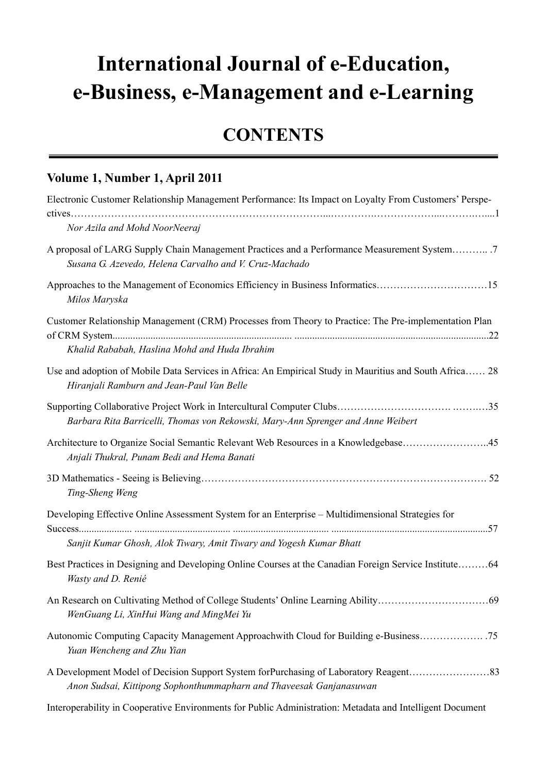## **International Journal of e-Education, e-Business, e-Management and e-Learning**

## **CONTENTS**

## **Volume 1, Number 1, April 2011**

| Electronic Customer Relationship Management Performance: Its Impact on Loyalty From Customers' Perspe-                                                      |
|-------------------------------------------------------------------------------------------------------------------------------------------------------------|
| Nor Azila and Mohd NoorNeeraj                                                                                                                               |
| A proposal of LARG Supply Chain Management Practices and a Performance Measurement System<br>Susana G. Azevedo, Helena Carvalho and V. Cruz-Machado         |
| Approaches to the Management of Economics Efficiency in Business Informatics15<br>Milos Maryska                                                             |
| Customer Relationship Management (CRM) Processes from Theory to Practice: The Pre-implementation Plan<br>Khalid Rababah, Haslina Mohd and Huda Ibrahim      |
| Use and adoption of Mobile Data Services in Africa: An Empirical Study in Mauritius and South Africa 28<br>Hiranjali Ramburn and Jean-Paul Van Belle        |
| Barbara Rita Barricelli, Thomas von Rekowski, Mary-Ann Sprenger and Anne Weibert                                                                            |
| Architecture to Organize Social Semantic Relevant Web Resources in a Knowledgebase45<br>Anjali Thukral, Punam Bedi and Hema Banati                          |
| Ting-Sheng Weng                                                                                                                                             |
| Developing Effective Online Assessment System for an Enterprise – Multidimensional Strategies for                                                           |
| Sanjit Kumar Ghosh, Alok Tiwary, Amit Tiwary and Yogesh Kumar Bhatt                                                                                         |
| Best Practices in Designing and Developing Online Courses at the Canadian Foreign Service Institute64<br>Wasty and D. Renié                                 |
| WenGuang Li, XinHui Wang and MingMei Yu                                                                                                                     |
| Autonomic Computing Capacity Management Approachwith Cloud for Building e-Business<br>Yuan Wencheng and Zhu Yian                                            |
| A Development Model of Decision Support System forPurchasing of Laboratory Reagent83<br>Anon Sudsai, Kittipong Sophonthummapharn and Thaveesak Ganjanasuwan |

Interoperability in Cooperative Environments for Public Administration: Metadata and Intelligent Document